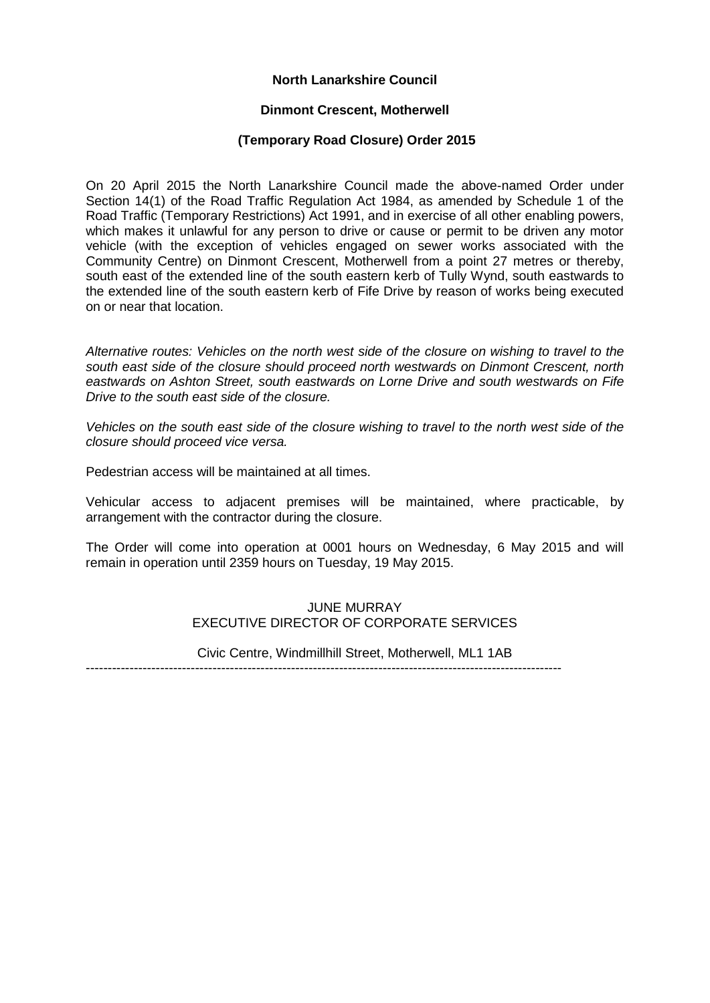# **North Lanarkshire Council**

#### **Dinmont Crescent, Motherwell**

### **(Temporary Road Closure) Order 2015**

On 20 April 2015 the North Lanarkshire Council made the above-named Order under Section 14(1) of the Road Traffic Regulation Act 1984, as amended by Schedule 1 of the Road Traffic (Temporary Restrictions) Act 1991, and in exercise of all other enabling powers, which makes it unlawful for any person to drive or cause or permit to be driven any motor vehicle (with the exception of vehicles engaged on sewer works associated with the Community Centre) on Dinmont Crescent, Motherwell from a point 27 metres or thereby, south east of the extended line of the south eastern kerb of Tully Wynd, south eastwards to the extended line of the south eastern kerb of Fife Drive by reason of works being executed on or near that location.

*Alternative routes: Vehicles on the north west side of the closure on wishing to travel to the south east side of the closure should proceed north westwards on Dinmont Crescent, north eastwards on Ashton Street, south eastwards on Lorne Drive and south westwards on Fife Drive to the south east side of the closure.* 

*Vehicles on the south east side of the closure wishing to travel to the north west side of the closure should proceed vice versa.*

Pedestrian access will be maintained at all times.

Vehicular access to adjacent premises will be maintained, where practicable, by arrangement with the contractor during the closure.

The Order will come into operation at 0001 hours on Wednesday, 6 May 2015 and will remain in operation until 2359 hours on Tuesday, 19 May 2015.

# JUNE MURRAY EXECUTIVE DIRECTOR OF CORPORATE SERVICES

Civic Centre, Windmillhill Street, Motherwell, ML1 1AB

-------------------------------------------------------------------------------------------------------------